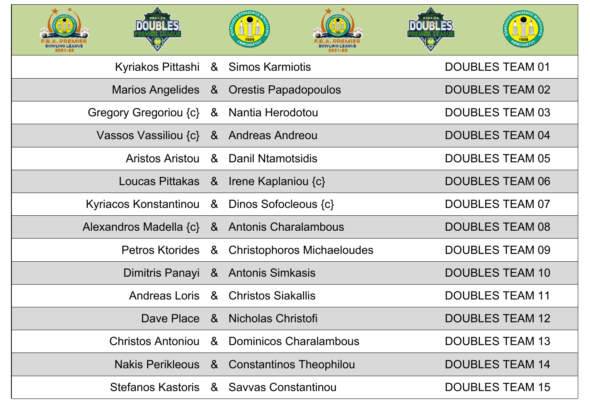









| Kyriakos Pittashi & Simos Karmiotis           |                                              | <b>DOUBLES TEAM 01</b> |
|-----------------------------------------------|----------------------------------------------|------------------------|
|                                               | Marios Angelides & Orestis Papadopoulos      | <b>DOUBLES TEAM 02</b> |
| Gregory Gregoriou {c} & Nantia Herodotou      |                                              | <b>DOUBLES TEAM 03</b> |
| Vassos Vassiliou {c} & Andreas Andreou        |                                              | <b>DOUBLES TEAM 04</b> |
|                                               | Aristos Aristou & Danil Ntamotsidis          | <b>DOUBLES TEAM 05</b> |
|                                               | Loucas Pittakas & Irene Kaplaniou {c}        | <b>DOUBLES TEAM 06</b> |
| Kyriacos Konstantinou & Dinos Sofocleous {c}  |                                              | <b>DOUBLES TEAM 07</b> |
| Alexandros Madella {c} & Antonis Charalambous |                                              | <b>DOUBLES TEAM 08</b> |
|                                               | Petros Ktorides & Christophoros Michaeloudes | <b>DOUBLES TEAM 09</b> |
|                                               | Dimitris Panayi & Antonis Simkasis           | <b>DOUBLES TEAM 10</b> |
|                                               | Andreas Loris & Christos Siakallis           | <b>DOUBLES TEAM 11</b> |
|                                               | Dave Place & Nicholas Christofi              | <b>DOUBLES TEAM 12</b> |
|                                               | Christos Antoniou & Dominicos Charalambous   | <b>DOUBLES TEAM 13</b> |
|                                               | Nakis Perikleous & Constantinos Theophilou   | <b>DOUBLES TEAM 14</b> |
|                                               | Stefanos Kastoris & Savvas Constantinou      | <b>DOUBLES TEAM 15</b> |



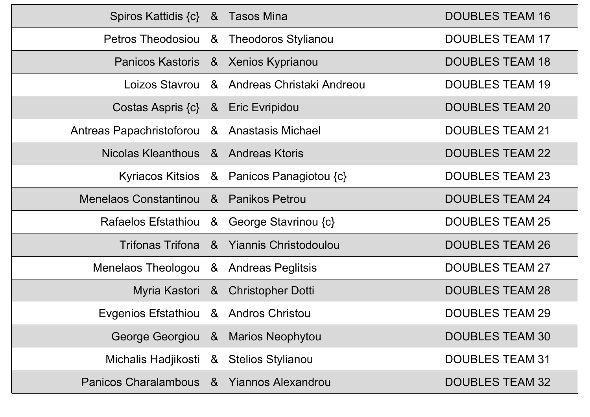| Spiros Kattidis {c} & Tasos Mina             |                                            | <b>DOUBLES TEAM 16</b> |
|----------------------------------------------|--------------------------------------------|------------------------|
|                                              | Petros Theodosiou & Theodoros Stylianou    | <b>DOUBLES TEAM 17</b> |
|                                              | Panicos Kastoris & Xenios Kyprianou        | <b>DOUBLES TEAM 18</b> |
|                                              | Loizos Stavrou & Andreas Christaki Andreou | <b>DOUBLES TEAM 19</b> |
| Costas Aspris {c} & Eric Evripidou           |                                            | <b>DOUBLES TEAM 20</b> |
| Antreas Papachristoforou & Anastasis Michael |                                            | <b>DOUBLES TEAM 21</b> |
| Nicolas Kleanthous & Andreas Ktoris          |                                            | <b>DOUBLES TEAM 22</b> |
|                                              | Kyriacos Kitsios & Panicos Panagiotou {c}  | <b>DOUBLES TEAM 23</b> |
| Menelaos Constantinou & Panikos Petrou       |                                            | <b>DOUBLES TEAM 24</b> |
|                                              | Rafaelos Efstathiou & George Stavrinou {c} | <b>DOUBLES TEAM 25</b> |
|                                              | Trifonas Trifona & Yiannis Christodoulou   | <b>DOUBLES TEAM 26</b> |
| Menelaos Theologou & Andreas Peglitsis       |                                            | <b>DOUBLES TEAM 27</b> |
|                                              | Myria Kastori & Christopher Dotti          | <b>DOUBLES TEAM 28</b> |
| Evgenios Efstathiou & Andros Christou        |                                            | <b>DOUBLES TEAM 29</b> |
|                                              | George Georgiou & Marios Neophytou         | <b>DOUBLES TEAM 30</b> |
| Michalis Hadjikosti & Stelios Stylianou      |                                            | <b>DOUBLES TEAM 31</b> |
| Panicos Charalambous & Yiannos Alexandrou    |                                            | <b>DOUBLES TEAM 32</b> |